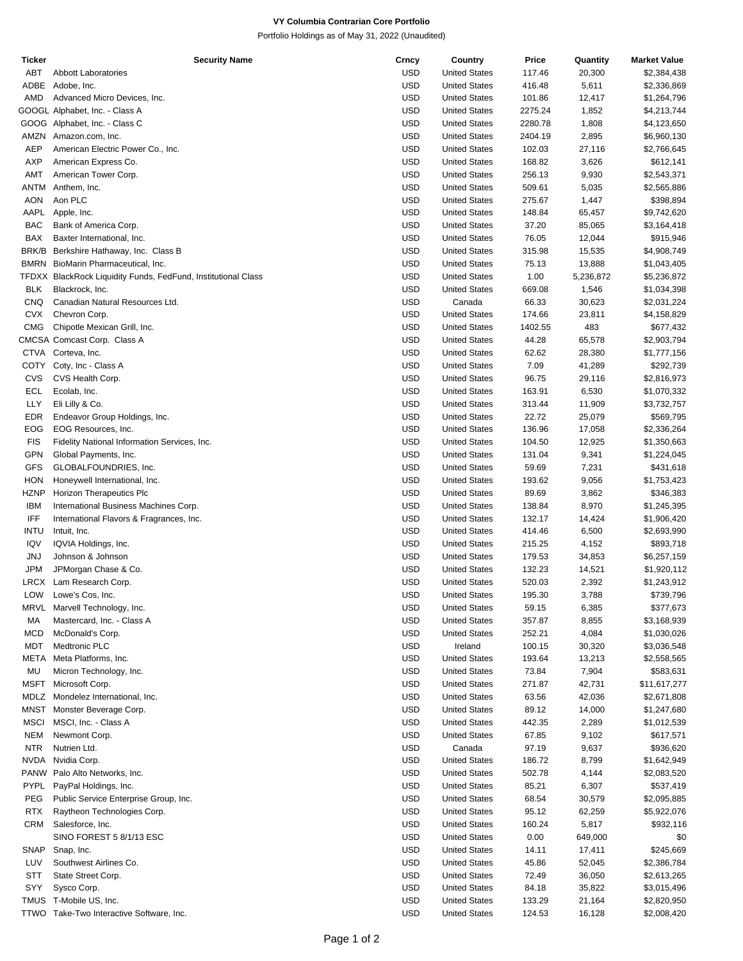# **VY Columbia Contrarian Core Portfolio**

Portfolio Holdings as of May 31, 2022 (Unaudited)

| Ticker      | <b>Security Name</b>                                          | Crncy      | Country              | Price   | Quantity  | <b>Market Value</b> |
|-------------|---------------------------------------------------------------|------------|----------------------|---------|-----------|---------------------|
| ABT         | <b>Abbott Laboratories</b>                                    | <b>USD</b> | <b>United States</b> | 117.46  | 20,300    | \$2,384,438         |
| ADBE        | Adobe, Inc.                                                   | <b>USD</b> | <b>United States</b> | 416.48  | 5,611     | \$2,336,869         |
| <b>AMD</b>  | Advanced Micro Devices, Inc.                                  | <b>USD</b> | <b>United States</b> | 101.86  | 12,417    | \$1,264,796         |
|             | GOOGL Alphabet, Inc. - Class A                                | <b>USD</b> | <b>United States</b> | 2275.24 | 1,852     | \$4,213,744         |
|             |                                                               |            |                      |         |           |                     |
|             | GOOG Alphabet, Inc. - Class C                                 | <b>USD</b> | <b>United States</b> | 2280.78 | 1,808     | \$4,123,650         |
| AMZN        | Amazon.com, Inc.                                              | <b>USD</b> | <b>United States</b> | 2404.19 | 2,895     | \$6,960,130         |
| <b>AEP</b>  | American Electric Power Co., Inc.                             | <b>USD</b> | <b>United States</b> | 102.03  | 27,116    | \$2,766,645         |
| <b>AXP</b>  | American Express Co.                                          | <b>USD</b> | <b>United States</b> | 168.82  | 3,626     | \$612,141           |
| <b>AMT</b>  | American Tower Corp.                                          | <b>USD</b> | <b>United States</b> | 256.13  | 9,930     | \$2,543,371         |
| ANTM        | Anthem, Inc.                                                  | <b>USD</b> | <b>United States</b> | 509.61  | 5,035     | \$2,565,886         |
| <b>AON</b>  | Aon PLC                                                       | <b>USD</b> | <b>United States</b> | 275.67  | 1,447     | \$398,894           |
| AAPL        | Apple, Inc.                                                   | <b>USD</b> | <b>United States</b> | 148.84  | 65,457    | \$9,742,620         |
| <b>BAC</b>  |                                                               | <b>USD</b> |                      |         |           |                     |
|             | Bank of America Corp.                                         |            | <b>United States</b> | 37.20   | 85,065    | \$3,164,418         |
| <b>BAX</b>  | Baxter International, Inc.                                    | <b>USD</b> | <b>United States</b> | 76.05   | 12,044    | \$915,946           |
|             | BRK/B Berkshire Hathaway, Inc. Class B                        | <b>USD</b> | <b>United States</b> | 315.98  | 15,535    | \$4,908,749         |
|             | BMRN BioMarin Pharmaceutical, Inc.                            | <b>USD</b> | <b>United States</b> | 75.13   | 13,888    | \$1,043,405         |
|             | TFDXX BlackRock Liquidity Funds, FedFund, Institutional Class | <b>USD</b> | <b>United States</b> | 1.00    | 5,236,872 | \$5,236,872         |
| <b>BLK</b>  | Blackrock, Inc.                                               | <b>USD</b> | <b>United States</b> | 669.08  | 1,546     | \$1,034,398         |
| <b>CNQ</b>  | Canadian Natural Resources Ltd.                               | <b>USD</b> | Canada               | 66.33   | 30,623    | \$2,031,224         |
| <b>CVX</b>  | Chevron Corp.                                                 | <b>USD</b> | <b>United States</b> | 174.66  | 23,811    | \$4,158,829         |
| <b>CMG</b>  | Chipotle Mexican Grill, Inc.                                  | <b>USD</b> | <b>United States</b> | 1402.55 | 483       | \$677,432           |
|             |                                                               |            |                      |         |           |                     |
|             | CMCSA Comcast Corp. Class A                                   | <b>USD</b> | <b>United States</b> | 44.28   | 65,578    | \$2,903,794         |
|             | CTVA Corteva, Inc.                                            | <b>USD</b> | <b>United States</b> | 62.62   | 28,380    | \$1,777,156         |
|             | COTY Coty, Inc - Class A                                      | <b>USD</b> | <b>United States</b> | 7.09    | 41,289    | \$292,739           |
| CVS         | CVS Health Corp.                                              | <b>USD</b> | <b>United States</b> | 96.75   | 29,116    | \$2,816,973         |
| ECL         | Ecolab, Inc.                                                  | <b>USD</b> | <b>United States</b> | 163.91  | 6,530     | \$1,070,332         |
| LLY         | Eli Lilly & Co.                                               | <b>USD</b> | <b>United States</b> | 313.44  | 11,909    | \$3,732,757         |
| <b>EDR</b>  | Endeavor Group Holdings, Inc.                                 | <b>USD</b> | <b>United States</b> | 22.72   | 25,079    | \$569,795           |
| EOG         | EOG Resources, Inc.                                           | <b>USD</b> | <b>United States</b> | 136.96  | 17,058    | \$2,336,264         |
|             |                                                               |            |                      |         |           |                     |
| <b>FIS</b>  | Fidelity National Information Services, Inc.                  | <b>USD</b> | <b>United States</b> | 104.50  | 12,925    | \$1,350,663         |
| <b>GPN</b>  | Global Payments, Inc.                                         | <b>USD</b> | <b>United States</b> | 131.04  | 9,341     | \$1,224,045         |
| <b>GFS</b>  | GLOBALFOUNDRIES, Inc.                                         | <b>USD</b> | <b>United States</b> | 59.69   | 7,231     | \$431,618           |
| <b>HON</b>  | Honeywell International, Inc.                                 | <b>USD</b> | <b>United States</b> | 193.62  | 9,056     | \$1,753,423         |
| <b>HZNP</b> | Horizon Therapeutics Plc                                      | <b>USD</b> | <b>United States</b> | 89.69   | 3,862     | \$346,383           |
| <b>IBM</b>  | International Business Machines Corp.                         | <b>USD</b> | <b>United States</b> | 138.84  | 8,970     | \$1,245,395         |
| IFF         | International Flavors & Fragrances, Inc.                      | <b>USD</b> | <b>United States</b> | 132.17  | 14,424    | \$1,906,420         |
| <b>INTU</b> | Intuit, Inc.                                                  | <b>USD</b> | <b>United States</b> | 414.46  | 6,500     | \$2,693,990         |
|             |                                                               |            |                      |         |           |                     |
| IQV         | IQVIA Holdings, Inc.                                          | <b>USD</b> | <b>United States</b> | 215.25  | 4,152     | \$893,718           |
| <b>JNJ</b>  | Johnson & Johnson                                             | <b>USD</b> | <b>United States</b> | 179.53  | 34,853    | \$6,257,159         |
| <b>JPM</b>  | JPMorgan Chase & Co.                                          | <b>USD</b> | <b>United States</b> | 132.23  | 14,521    | \$1,920,112         |
| LRCX        | Lam Research Corp.                                            | <b>USD</b> | <b>United States</b> | 520.03  | 2,392     | \$1,243,912         |
| LOW         | Lowe's Cos, Inc.                                              | <b>USD</b> | <b>United States</b> | 195.30  | 3,788     | \$739,796           |
| MRVL        | Marvell Technology, Inc.                                      | <b>USD</b> | <b>United States</b> | 59.15   | 6,385     | \$377,673           |
| МA          | Mastercard, Inc. - Class A                                    | <b>USD</b> | <b>United States</b> | 357.87  | 8,855     | \$3,168,939         |
| <b>MCD</b>  | McDonald's Corp.                                              | <b>USD</b> | <b>United States</b> | 252.21  | 4,084     | \$1,030,026         |
|             |                                                               | <b>USD</b> |                      |         |           |                     |
| MDT         | <b>Medtronic PLC</b>                                          |            | Ireland              | 100.15  | 30,320    | \$3,036,548         |
| META        | Meta Platforms, Inc.                                          | <b>USD</b> | <b>United States</b> | 193.64  | 13,213    | \$2,558,565         |
| MU          | Micron Technology, Inc.                                       | <b>USD</b> | <b>United States</b> | 73.84   | 7,904     | \$583,631           |
| <b>MSFT</b> | Microsoft Corp.                                               | <b>USD</b> | <b>United States</b> | 271.87  | 42,731    | \$11,617,277        |
| MDLZ        | Mondelez International, Inc.                                  | <b>USD</b> | <b>United States</b> | 63.56   | 42,036    | \$2,671,808         |
| <b>MNST</b> | Monster Beverage Corp.                                        | <b>USD</b> | <b>United States</b> | 89.12   | 14,000    | \$1,247,680         |
| <b>MSCI</b> | MSCI, Inc. - Class A                                          | <b>USD</b> | <b>United States</b> | 442.35  | 2,289     | \$1,012,539         |
| <b>NEM</b>  | Newmont Corp.                                                 | <b>USD</b> | <b>United States</b> | 67.85   | 9,102     | \$617,571           |
| <b>NTR</b>  | Nutrien Ltd.                                                  | <b>USD</b> | Canada               | 97.19   | 9,637     | \$936,620           |
|             |                                                               |            |                      |         |           |                     |
| <b>NVDA</b> | Nvidia Corp.                                                  | <b>USD</b> | <b>United States</b> | 186.72  | 8,799     | \$1,642,949         |
|             | PANW Palo Alto Networks, Inc.                                 | <b>USD</b> | <b>United States</b> | 502.78  | 4,144     | \$2,083,520         |
| PYPL        | PayPal Holdings, Inc.                                         | <b>USD</b> | <b>United States</b> | 85.21   | 6,307     | \$537,419           |
| PEG         | Public Service Enterprise Group, Inc.                         | <b>USD</b> | <b>United States</b> | 68.54   | 30,579    | \$2,095,885         |
| <b>RTX</b>  | Raytheon Technologies Corp.                                   | <b>USD</b> | <b>United States</b> | 95.12   | 62,259    | \$5,922,076         |
| CRM         | Salesforce, Inc.                                              | <b>USD</b> | <b>United States</b> | 160.24  | 5,817     | \$932,116           |
|             | SINO FOREST 5 8/1/13 ESC                                      | <b>USD</b> | <b>United States</b> | 0.00    | 649,000   | \$0                 |
| SNAP        | Snap, Inc.                                                    | <b>USD</b> | <b>United States</b> | 14.11   | 17,411    | \$245,669           |
|             |                                                               |            |                      |         |           |                     |
| LUV         | Southwest Airlines Co.                                        | <b>USD</b> | <b>United States</b> | 45.86   | 52,045    | \$2,386,784         |
| <b>STT</b>  | State Street Corp.                                            | <b>USD</b> | <b>United States</b> | 72.49   | 36,050    | \$2,613,265         |
| SYY         | Sysco Corp.                                                   | <b>USD</b> | <b>United States</b> | 84.18   | 35,822    | \$3,015,496         |
|             | TMUS T-Mobile US, Inc.                                        | <b>USD</b> | <b>United States</b> | 133.29  | 21,164    | \$2,820,950         |
| TTWO        | Take-Two Interactive Software, Inc.                           | <b>USD</b> | <b>United States</b> | 124.53  | 16,128    | \$2,008,420         |